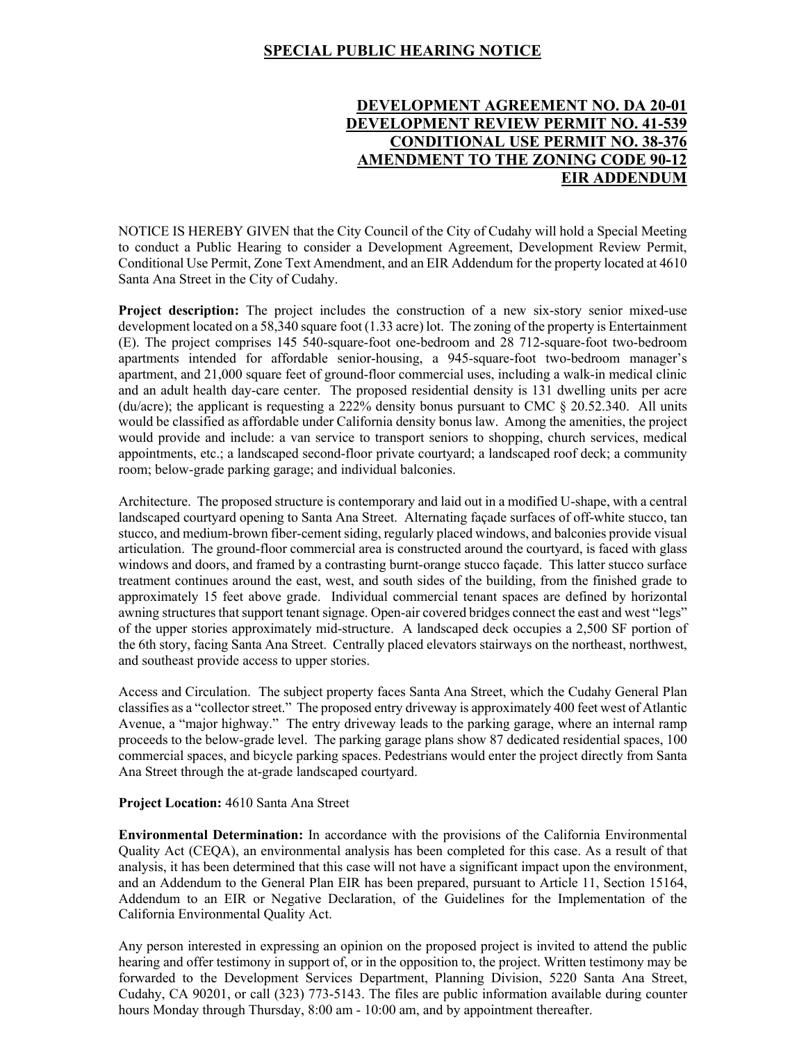## **SPECIAL PUBLIC HEARING NOTICE**

# **DEVELOPMENT AGREEMENT NO. DA 20-01 DEVELOPMENT REVIEW PERMIT NO. 41-539 CONDITIONAL USE PERMIT NO. 38-376 AMENDMENT TO THE ZONING CODE 90-12 EIR ADDENDUM**

NOTICE IS HEREBY GIVEN that the City Council of the City of Cudahy will hold a Special Meeting to conduct a Public Hearing to consider a Development Agreement, Development Review Permit, Conditional Use Permit, Zone Text Amendment, and an EIR Addendum for the property located at 4610 Santa Ana Street in the City of Cudahy.

**Project description:** The project includes the construction of a new six-story senior mixed-use development located on a 58,340 square foot (1.33 acre) lot. The zoning of the property is Entertainment (E). The project comprises 145 540-square-foot one-bedroom and 28 712-square-foot two-bedroom apartments intended for affordable senior-housing, a 945-square-foot two-bedroom manager's apartment, and 21,000 square feet of ground-floor commercial uses, including a walk-in medical clinic and an adult health day-care center. The proposed residential density is 131 dwelling units per acre (du/acre); the applicant is requesting a 222% density bonus pursuant to CMC  $\S$  20.52.340. All units would be classified as affordable under California density bonus law. Among the amenities, the project would provide and include: a van service to transport seniors to shopping, church services, medical appointments, etc.; a landscaped second-floor private courtyard; a landscaped roof deck; a community room; below-grade parking garage; and individual balconies.

Architecture. The proposed structure is contemporary and laid out in a modified U-shape, with a central landscaped courtyard opening to Santa Ana Street. Alternating façade surfaces of off-white stucco, tan stucco, and medium-brown fiber-cement siding, regularly placed windows, and balconies provide visual articulation. The ground-floor commercial area is constructed around the courtyard, is faced with glass windows and doors, and framed by a contrasting burnt-orange stucco façade. This latter stucco surface treatment continues around the east, west, and south sides of the building, from the finished grade to approximately 15 feet above grade. Individual commercial tenant spaces are defined by horizontal awning structures that support tenant signage. Open-air covered bridges connect the east and west "legs" of the upper stories approximately mid-structure. A landscaped deck occupies a 2,500 SF portion of the 6th story, facing Santa Ana Street. Centrally placed elevators stairways on the northeast, northwest, and southeast provide access to upper stories.

Access and Circulation. The subject property faces Santa Ana Street, which the Cudahy General Plan classifies as a "collector street." The proposed entry driveway is approximately 400 feet west of Atlantic Avenue, a "major highway." The entry driveway leads to the parking garage, where an internal ramp proceeds to the below-grade level. The parking garage plans show 87 dedicated residential spaces, 100 commercial spaces, and bicycle parking spaces. Pedestrians would enter the project directly from Santa Ana Street through the at-grade landscaped courtyard.

#### **Project Location:** 4610 Santa Ana Street

**Environmental Determination:** In accordance with the provisions of the California Environmental Quality Act (CEQA), an environmental analysis has been completed for this case. As a result of that analysis, it has been determined that this case will not have a significant impact upon the environment, and an Addendum to the General Plan EIR has been prepared, pursuant to Article 11, Section 15164, Addendum to an EIR or Negative Declaration, of the Guidelines for the Implementation of the California Environmental Quality Act.

Any person interested in expressing an opinion on the proposed project is invited to attend the public hearing and offer testimony in support of, or in the opposition to, the project. Written testimony may be forwarded to the Development Services Department, Planning Division, 5220 Santa Ana Street, Cudahy, CA 90201, or call (323) 773-5143. The files are public information available during counter hours Monday through Thursday, 8:00 am - 10:00 am, and by appointment thereafter.